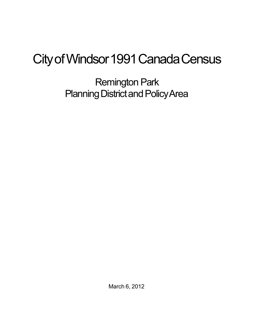## City of Windsor 1991 Canada Census

Remington Park Planning District and Policy Area

March 6, 2012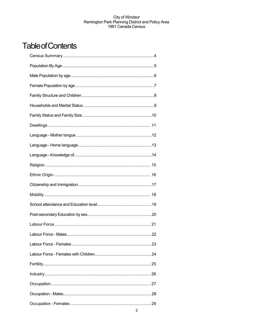## **Table of Contents**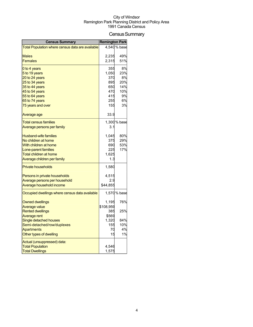## Census Summary

| <b>Census Summary</b>                            | <b>Remington Park</b> |              |
|--------------------------------------------------|-----------------------|--------------|
| Total Population where census data are available |                       | 4,540 % base |
|                                                  |                       |              |
| <b>Males</b>                                     | 2,235                 | 49%          |
| <b>Females</b>                                   | 2,315                 | 51%          |
| 0 to 4 years                                     | 355                   | 8%           |
| 5 to 19 years                                    | 1,050                 | 23%          |
| 20 to 24 years                                   | 370                   | 8%           |
| 25 to 34 years                                   | 895                   | 20%          |
| 35 to 44 years                                   | 650                   | 14%          |
| 45 to 54 years                                   | 470                   | 10%<br>9%    |
| 55 to 64 years<br>65 to 74 years                 | 415<br>255            | 6%           |
| 75 years and over                                | 155                   | 3%           |
|                                                  |                       |              |
| Average age                                      | 33.9                  |              |
| <b>Total census families</b>                     |                       | 1,300 % base |
| <u>Average persons per family</u>                | 3.1                   |              |
| <b>Husband-wife families</b>                     | 1,045                 | 80%          |
| No children at home                              | 375                   | 29%          |
| With children at home                            | 690                   | 53%          |
| Lone-parent families                             | 225                   | 17%          |
| <b>Total children at home</b>                    | 1,625                 |              |
| Average children per family                      | 1.3                   |              |
| <b>Private households</b>                        | 1,580                 |              |
| Persons in private households                    | 4,515                 |              |
| Average persons per household                    | 2.9                   |              |
| Average household income                         | \$44,855              |              |
| Occupied dwellings where census data available   |                       | 1,570 % base |
| Owned dwellings                                  | 1,195                 | 76%          |
| <b>Average value</b>                             | \$108,959             |              |
| <b>Rented dwellings</b>                          | 385                   | 25%          |
| <b>Average rent</b>                              | \$569                 |              |
| <b>Single detached houses</b>                    | 1,320                 | 84%          |
| Semi-detached/row/duplexes                       | 155                   | 10%          |
| <b>Apartments</b>                                | 70                    | 4%           |
| Other types of dwelling                          | 15                    | 1%           |
| Actual (unsuppressed) data:                      |                       |              |
| <b>Total Population</b>                          | 4,546                 |              |
| <b>Total Dwellings</b>                           | 1,575                 |              |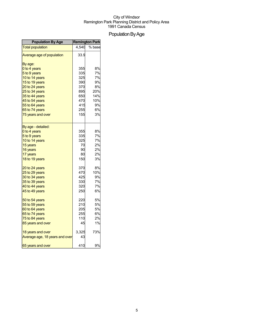## Population By Age

| <b>Population By Age</b>       |       | <b>Remington Park</b> |
|--------------------------------|-------|-----------------------|
| <b>Total population</b>        | 4.540 | % base                |
| Average age of population      | 33.9  |                       |
| By age:                        |       |                       |
| 0 to 4 years                   | 355   | 8%                    |
| 5 to 9 years                   | 335   | 7%                    |
| 10 to 14 years                 | 325   | 7%                    |
| 15 to 19 years                 | 390   | 9%                    |
| 20 to 24 years                 | 370   | 8%                    |
| 25 to 34 years                 | 895   | 20%                   |
| 35 to 44 years                 | 650   | 14%                   |
| 45 to 54 years                 | 470   | 10%                   |
| 55 to 64 years                 | 415   | 9%                    |
| 65 to 74 years                 | 255   | 6%                    |
| 75 years and over              | 155   | 3%                    |
| By age - detailed:             |       |                       |
| 0 to 4 years                   | 355   | 8%                    |
| 5 to 9 years                   | 335   | 7%                    |
| 10 to 14 years                 | 325   | 7%                    |
| 15 years                       | 70    | 2%                    |
| 16 years                       | 90    | 2%                    |
| 17 years                       | 80    | 2%                    |
| 18 to 19 years                 | 150   | 3%                    |
| 20 to 24 years                 | 370   | 8%                    |
| 25 to 29 years                 | 470   | 10%                   |
| 30 to 34 years                 | 425   | 9%                    |
| 35 to 39 years                 | 330   | 7%                    |
| 40 to 44 years                 | 320   | 7%                    |
| 45 to 49 years                 | 250   | 6%                    |
| 50 to 54 years                 | 220   | 5%                    |
| 55 to 59 years                 | 210   | 5%                    |
| 60 to 64 years                 | 205   | 5%                    |
| 65 to 74 years                 | 255   | 6%                    |
| 75 to 84 years                 | 110   | 2%                    |
| 85 years and over              | 45    | 1%                    |
| 18 years and over              | 3,325 | 73%                   |
| Average age, 18 years and over | 43    |                       |
| 65 years and over              | 410   | 9%                    |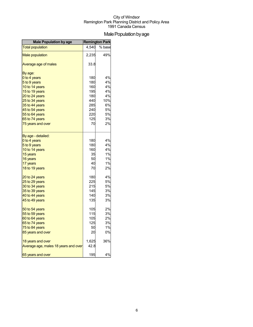## Male Population by age

| <b>Male Population by age</b>        | <b>Remington Park</b> |        |
|--------------------------------------|-----------------------|--------|
| <b>Total population</b>              | 4,540                 | % base |
| <b>Male population</b>               | 2,235                 | 49%    |
| Average age of males                 | 33.8                  |        |
| By age:                              |                       |        |
| 0 to 4 years                         | 180                   | 4%     |
| 5 to 9 years                         | 180                   | 4%     |
| 10 to 14 years                       | 160                   | 4%     |
| 15 to 19 years                       | 195                   | 4%     |
| 20 to 24 years                       | 180                   | 4%     |
| 25 to 34 years                       | 440                   | 10%    |
| 35 to 44 years                       | 285                   | 6%     |
| 45 to 54 years                       | 240                   | 5%     |
| 55 to 64 years                       | 220                   | 5%     |
| 65 to 74 years                       | 125                   | 3%     |
| 75 years and over                    | 70                    | 2%     |
| By age - detailed:                   |                       |        |
| 0 to 4 years                         | 180                   | 4%     |
| 5 to 9 years                         | 180                   | 4%     |
| 10 to 14 years                       | 160                   | 4%     |
| 15 years                             | 35                    | 1%     |
| 16 years                             | 50                    | 1%     |
| 17 years                             | 40                    | 1%     |
| 18 to 19 years                       | 70                    | 2%     |
| 20 to 24 years                       | 180                   | 4%     |
| 25 to 29 years                       | 225                   | 5%     |
| 30 to 34 years                       | 215                   | 5%     |
| 35 to 39 years                       | 145                   | 3%     |
| 40 to 44 years                       | 140                   | 3%     |
| 45 to 49 years                       | 135                   | 3%     |
| 50 to 54 years                       | 105                   | 2%     |
| 55 to 59 years                       | 115                   | 3%     |
| 60 to 64 years                       | 105                   | 2%     |
| 65 to 74 years                       | 125                   | 3%     |
| 75 to 84 years                       | 50                    | 1%     |
| 85 years and over                    | 20                    | 0%     |
| 18 years and over                    | 1,625                 | 36%    |
| Average age, males 18 years and over | 42.8                  |        |
| 65 years and over                    | 195                   | 4%     |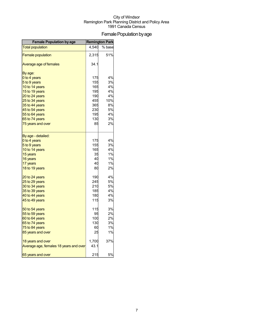## Female Population by age

| <b>Female Population by age</b>        | <b>Remington Park</b> |        |
|----------------------------------------|-----------------------|--------|
| <b>Total population</b>                | 4,540                 | % base |
| <b>Female population</b>               | 2,315                 | 51%    |
| Average age of females                 | 34.1                  |        |
| By age:                                |                       |        |
| 0 to 4 years                           | 175                   | 4%     |
| 5 to 9 years                           | 155                   | 3%     |
| 10 to 14 years                         | 165                   | 4%     |
| 15 to 19 years                         | 195                   | 4%     |
| 20 to 24 years                         | 190                   | 4%     |
| 25 to 34 years                         | 455                   | 10%    |
| 35 to 44 years                         | 365                   | 8%     |
| 45 to 54 years                         | 230                   | 5%     |
| 55 to 64 years                         | 195                   | 4%     |
| 65 to 74 years                         | 130                   | 3%     |
| 75 years and over                      | 85                    | 2%     |
| By age - detailed:                     |                       |        |
| 0 to 4 years                           | 175                   | 4%     |
| 5 to 9 years                           | 155                   | 3%     |
| 10 to 14 years                         | 165                   | 4%     |
| 15 years                               | 35                    | 1%     |
| 16 years                               | 40                    | 1%     |
| 17 years                               | 40                    | 1%     |
| 18 to 19 years                         | 80                    | 2%     |
| 20 to 24 years                         | 190                   | 4%     |
| 25 to 29 years                         | 245                   | 5%     |
| 30 to 34 years                         | 210                   | 5%     |
| 35 to 39 years                         | 185                   | 4%     |
| 40 to 44 years                         | 180                   | 4%     |
| 45 to 49 years                         | 115                   | 3%     |
| 50 to 54 years                         | 115                   | 3%     |
| 55 to 59 years                         | 95                    | 2%     |
| 60 to 64 years                         | 100                   | 2%     |
| 65 to 74 years                         | 130                   | 3%     |
| 75 to 84 years                         | 60                    | 1%     |
| 85 years and over                      | 25                    | 1%     |
| 18 years and over                      | 1,700                 | 37%    |
| Average age, females 18 years and over | 43.1                  |        |
| 65 years and over                      | 215                   | 5%     |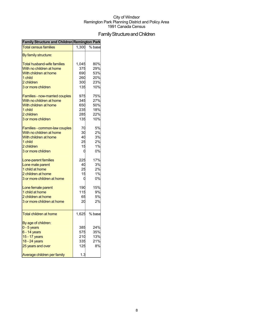## FamilyStructureandChildren

| Family Structure and Children Remington Park |       |        |
|----------------------------------------------|-------|--------|
| <b>Total census families</b>                 | 1,300 | % base |
| By family structure:                         |       |        |
| <b>Total husband-wife families</b>           | 1,045 | 80%    |
| With no children at home                     | 375   | 29%    |
| With children at home                        | 690   | 53%    |
| 1 child                                      | 260   | 20%    |
| 2 children                                   | 300   | 23%    |
| 3 or more children                           | 135   | 10%    |
| <b>Families - now-married couples</b>        | 975   | 75%    |
| With no children at home                     | 345   | 27%    |
| With children at home                        | 650   | 50%    |
| 1 child                                      | 235   | 18%    |
| 2 children                                   | 285   | 22%    |
| 3 or more children                           | 135   | 10%    |
| Families - common-law couples                | 70    | 5%     |
| With no children at home                     | 30    | 2%     |
| With children at home                        | 40    | 3%     |
| 1 child                                      | 25    | 2%     |
| 2 children                                   | 15    | 1%     |
| 3 or more children                           | C     | 0%     |
|                                              |       |        |
| Lone-parent families                         | 225   | 17%    |
| Lone male parent                             | 40    | 3%     |
| 1 child at home                              | 25    | 2%     |
| 2 children at home                           | 15    | 1%     |
| 3 or more children at home                   | C     | 0%     |
| Lone female parent                           | 190   | 15%    |
| 1 child at home                              | 115   | 9%     |
| 2 children at home                           | 65    | 5%     |
| 3 or more children at home                   | 20    | 2%     |
| <b>Total children at home</b>                | 1,625 | % base |
|                                              |       |        |
| By age of children:                          |       |        |
| $0 - 5$ years                                | 385   | 24%    |
| $6 - 14$ years                               | 575   | 35%    |
| 15 - 17 years                                | 210   | 13%    |
| 18 - 24 years                                | 335   | 21%    |
| 25 years and over                            | 125   | 8%     |
| Average children per family                  | 1.3   |        |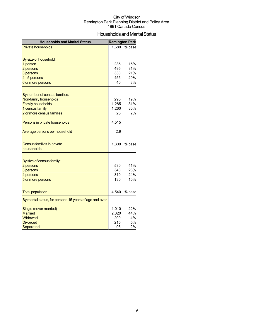## Households and Marital Status

| <b>Households and Marital Status</b>                     |       | <b>Remington Park</b> |
|----------------------------------------------------------|-------|-----------------------|
| <b>Private households</b>                                | 1,580 | % base                |
|                                                          |       |                       |
| By size of household:                                    |       |                       |
| 1 person                                                 | 235   | 15%                   |
| 2 persons                                                | 495   | 31%                   |
| 3 persons                                                | 330   | 21%                   |
| 4 - 5 persons                                            | 455   | 29%                   |
| 6 or more persons                                        | 40    | 3%                    |
|                                                          |       |                       |
| By number of census families:                            |       |                       |
| Non-family households                                    | 295   | 19%                   |
| <b>Family households</b>                                 | 1,285 | 81%                   |
| 1 census family                                          | 1,260 | 80%                   |
| 2 or more census families                                | 25    | 2%                    |
| Persons in private households                            | 4,515 |                       |
| Average persons per household                            | 2.9   |                       |
|                                                          |       |                       |
| Census families in private<br>households                 | 1,300 | % base                |
|                                                          |       |                       |
| By size of census family:                                |       |                       |
| 2 persons                                                | 530   | 41%                   |
| 3 persons                                                | 340   | 26%                   |
| 4 persons                                                | 310   | 24%                   |
| 5 or more persons                                        | 130   | 10%                   |
|                                                          |       | % base                |
| <b>Total population</b>                                  | 4,540 |                       |
| By marital status, for persons 15 years of age and over: |       |                       |
| Single (never married)                                   | 1,010 | 22%                   |
| <b>Married</b>                                           | 2,020 | 44%                   |
| Widowed                                                  | 200   | 4%                    |
| <b>Divorced</b>                                          | 215   | 5%                    |
| Separated                                                | 95    | 2%                    |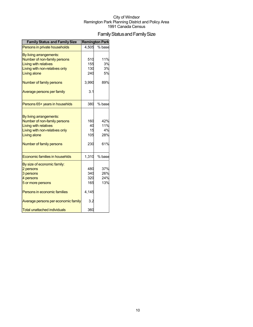## Family Status and Family Size

| <b>Family Status and Family Size</b> |       | <b>Remington Park</b> |
|--------------------------------------|-------|-----------------------|
| Persons in private households        | 4,505 | % base                |
| By living arrangements:              |       |                       |
| Number of non-family persons         | 510   | 11%                   |
| <b>Living with relatives</b>         | 155   | 3%                    |
| Living with non-relatives only       | 130   | 3%                    |
| Living alone                         | 240   | 5%                    |
| Number of family persons             | 3,990 | 89%                   |
| Average persons per family           | 3.1   |                       |
| Persons 65+ years in househlds       | 380   | % base                |
|                                      |       |                       |
| By living arrangements:              |       |                       |
| Number of non-family persons         | 160   | 42%                   |
| <b>Living with relatives</b>         | 40    | 11%                   |
| Living with non-relatives only       | 15    | 4%                    |
| Living alone                         | 105   | 28%                   |
| Number of family persons             | 230   | 61%                   |
| Economic families in househlds       | 1,310 | % base                |
| By size of economic family:          |       |                       |
| 2 persons                            | 480   | 37%                   |
| 3 persons                            | 340   | 26%                   |
| 4 persons                            | 320   | 24%                   |
| 5 or more persons                    | 165   | 13%                   |
| Persons in economic families         | 4,145 |                       |
| Average persons per economic family  | 3.2   |                       |
| <b>Total unattached individuals</b>  | 360   |                       |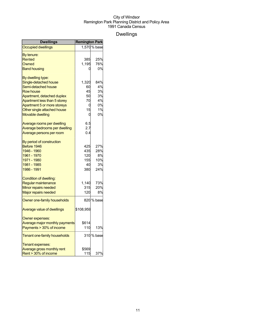## Dwellings

| <b>Dwellings</b>               | <b>Remington Park</b> |              |
|--------------------------------|-----------------------|--------------|
| <b>Occupied dwellings</b>      |                       | 1,570 % base |
| By tenure:                     |                       |              |
| Rented                         | 385                   | 25%          |
| Owned                          | 1,195                 | 76%          |
| <b>Band housing</b>            |                       | 0%           |
| By dwelling type:              |                       |              |
| Single-detached house          | 1,320                 | 84%          |
| Semi-detached house            | 60                    | 4%           |
| <b>Row house</b>               | 45                    | 3%           |
| Apartment, detached duplex     | 50                    | 3%           |
| Apartment less than 5 storey   | 70                    | 4%           |
| Apartment 5 or more storeys    | 0                     | 0%           |
| Other single attached house    | 15                    | 1%           |
| Movable dwelling               | 0                     | 0%           |
| Average rooms per dwelling     | 6.5                   |              |
| Average bedrooms per dwelling  | 2.7                   |              |
| Average persons per room       | 0.4                   |              |
| By period of construction      |                       |              |
| Before 1946                    | 425                   | 27%          |
| 1946 - 1960                    | 435                   | 28%          |
| 1961 - 1970                    | 120                   | 8%           |
| 1971 - 1980                    | 155                   | 10%          |
| 1981 - 1985                    | 40                    | 3%           |
| 1986 - 1991                    | 380l                  | 24%          |
| Condition of dwelling:         |                       |              |
| Regular maintenance            | 1,140                 | 73%          |
| Minor repairs needed           | 315                   | 20%          |
| Major repairs needed           | 120                   | 8%           |
| Owner one-family households    |                       | 820 % base   |
| Average value of dwellings     | \$108,959             |              |
| Owner expenses:                |                       |              |
| Average major monthly payments | \$614                 |              |
| Payments > 30% of income       | 110                   | 13%          |
| Tenant one-family households   |                       | 310 % base   |
| Tenant expenses:               |                       |              |
| Average gross monthly rent     | \$569                 |              |
| Rent > 30% of income           | 115                   | 37%          |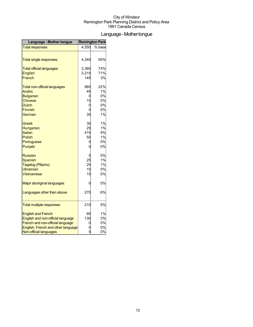## Language-Mothertongue

| Language - Mother tongue            | <b>Remington Park</b> |        |
|-------------------------------------|-----------------------|--------|
| <b>Total responses</b>              | 4,550                 | % base |
|                                     |                       |        |
| <b>Total single responses</b>       | 4,340                 | 95%    |
| <b>Total official languages</b>     | 3,360                 | 74%    |
| English                             | 3,215                 | 71%    |
| French                              | 145                   | 3%     |
| <b>Total non-official languages</b> | 985                   | 22%    |
| Arabic                              | 45                    | 1%     |
| <b>Bulgarian</b>                    | 0                     | 0%     |
| Chinese                             | 15                    | 0%     |
| <b>Dutch</b>                        | 0                     | 0%     |
| <b>Finnish</b>                      | 0                     | 0%     |
| German                              | 35                    | 1%     |
| Greek                               | 30                    | 1%     |
| Hungarian                           | 25                    | 1%     |
| Italian                             | 415                   | 9%     |
| Polish                              | 50                    | 1%     |
| Portuguese                          | 5                     | 0%     |
| Punjabi                             | 0                     | 0%     |
| <b>Russian</b>                      | 5                     | 0%     |
| <b>Spanish</b>                      | 25                    | 1%     |
| Tagalog (Pilipino)                  | 25                    | 1%     |
| <b>Ukrainian</b>                    | 15                    | 0%     |
| Vietnamese                          | 15                    | 0%     |
| Major aboriginal languages          | 0                     | 0%     |
| Languages other than above          | 270                   | 6%     |
|                                     |                       |        |
| <b>Total multiple responses</b>     | 210                   | 5%     |
| <b>English and French</b>           | 60                    | 1%     |
| English and non-official language   | 130                   | 3%     |
| French and non-official language    |                       | 0%     |
| English, French and other language  |                       | 0%     |
| Non-official languages              | 5                     | 0%     |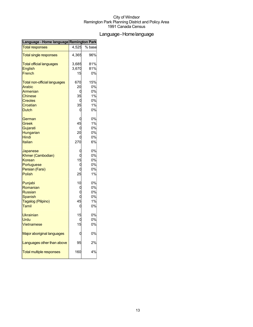## Language-Homelanguage

| Language - Home language Remington Park |       |        |
|-----------------------------------------|-------|--------|
| <b>Total responses</b>                  | 4,525 | % base |
| <b>Total single responses</b>           | 4,365 | 96%    |
| <b>Total official languages</b>         | 3,685 | 81%    |
| <b>English</b>                          | 3,670 | 81%    |
| French                                  | 15    | 0%     |
| <b>Total non-official languages</b>     | 670   | 15%    |
| Arabic                                  | 20    | 0%     |
| Armenian                                | 0     | 0%     |
| <b>Chinese</b>                          | 35    | 1%     |
| <b>Creoles</b>                          | U     | 0%     |
| Croatian                                | 35    | 1%     |
| <b>Dutch</b>                            | 0     | 0%     |
| German                                  | C     | 0%     |
| Greek                                   | 45    | 1%     |
| Gujarati                                | C     | 0%     |
| Hungarian                               | 20    | 0%     |
| <b>Hindi</b>                            |       | 0%     |
| <b>Italian</b>                          | 270   | 6%     |
| Japanese                                | C     | 0%     |
| Khmer (Cambodian)                       | 0     | 0%     |
| Korean                                  | 15    | 0%     |
| Portuguese                              | O     | 0%     |
| Persian (Farsi)                         |       | 0%     |
| Polish                                  | 25    | 1%     |
| Punjabi                                 | 10    | 0%     |
| Romanian                                | C     | 0%     |
| <b>Russian</b>                          |       | 0%     |
| Spanish                                 | O     | 0%     |
| Tagalog (Pilipino)                      | 45    | 1%     |
| Tamil                                   | 0     | 0%     |
| <b>Ukrainian</b>                        | 15    | 0%     |
| Urdu                                    | O     | 0%     |
| <b>Vietnamese</b>                       | 15    | 0%     |
| Major aboriginal languages              |       | 0%     |
| Languages other than above              | 95    | 2%     |
| <b>Total multiple responses</b>         | 160   | 4%     |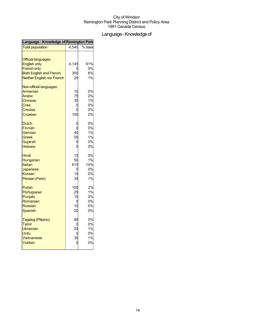## Language - Knowledge of

| Language - Knowledge of Remington Park |       |        |  |
|----------------------------------------|-------|--------|--|
| <b>Total population</b>                | 4,540 | % base |  |
|                                        |       |        |  |
| <b>Official languages:</b>             |       |        |  |
| <b>English only</b>                    | 4,145 | 91%    |  |
| <b>French only</b>                     |       | 0%     |  |
| <b>Both English and French</b>         | 350   | 8%     |  |
| <b>Neither English nor French</b>      | 25    | 1%     |  |
| Non-official languages:                |       |        |  |
| Armenian                               | 10    | 0%     |  |
| Arabic                                 | 75    | 2%     |  |
| <b>Chinese</b>                         | 35    | 1%     |  |
| Cree                                   | C     | 0%     |  |
| Creoles                                | C     | 0%     |  |
| Croatian                               | 105   | 2%     |  |
| Dutch                                  | C     | 0%     |  |
| <b>Finnish</b>                         |       | 0%     |  |
| German                                 | 40    | 1%     |  |
| Greek                                  | 55    | 1%     |  |
| Gujarati                               | C     | 0%     |  |
| <b>Hebrew</b>                          | C     | 0%     |  |
| Hindi                                  | 10    | 0%     |  |
| Hungarian                              | 50    | 1%     |  |
| Italian                                | 615   | 14%    |  |
| Japanese                               | C     | 0%     |  |
| Korean                                 | 15    | 0%     |  |
| Persian (Farsi)                        | 35    | 1%     |  |
| Polish                                 | 100   | 2%     |  |
| Portuguese                             | 25    | 1%     |  |
| Punjabi                                | 15    | 0%     |  |
| Romanian                               | C     | 0%     |  |
| Russian                                | 10    | 0%     |  |
| Spanish                                | 20    | 0%     |  |
| Tagalog (Pilipino)                     | 85    | 2%     |  |
| Tamil                                  | C     | 0%     |  |
| <b>Ukrainian</b>                       | 25    | 1%     |  |
| Urdu                                   | C     | 0%     |  |
| <b>Vietnamese</b>                      | 30    | 1%     |  |
| Yiddish                                |       | 0%     |  |
|                                        |       |        |  |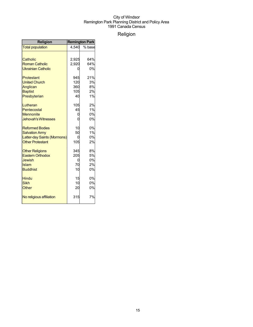## Religion

| Religion                    | <b>Remington Park</b> |        |  |
|-----------------------------|-----------------------|--------|--|
| <b>Total population</b>     | 4.540                 | % base |  |
|                             |                       |        |  |
| Catholic                    | 2,925                 | 64%    |  |
| <b>Roman Catholic</b>       | 2,920                 | 64%    |  |
| <b>Ukrainian Catholic</b>   | Ω                     | 0%     |  |
|                             |                       |        |  |
| Protestant                  | 945                   | 21%    |  |
| <b>United Church</b>        | 120                   | 3%     |  |
| Anglican                    | 360                   | 8%     |  |
| <b>Baptist</b>              | 105                   | 2%     |  |
| Presbyterian                | 40                    | 1%     |  |
| Lutheran                    | 105                   | 2%     |  |
| Pentecostal                 | 45                    | 1%     |  |
| <b>Mennonite</b>            | 0                     | 0%     |  |
| <b>Jehovah's Witnesses</b>  | 0                     | 0%     |  |
|                             |                       |        |  |
| <b>Reformed Bodies</b>      | 10                    | 0%     |  |
| <b>Salvation Army</b>       | 50                    | 1%     |  |
| Latter-day Saints (Mormons) | 0                     | 0%     |  |
| <b>Other Protestant</b>     | 105                   | 2%     |  |
| <b>Other Religions</b>      | 345                   | 8%     |  |
| <b>Eastern Orthodox</b>     | 205                   | 5%     |  |
| Jewish                      | 0                     | 0%     |  |
| Islam                       | 70                    | 2%     |  |
| <b>Buddhist</b>             | 10                    | 0%     |  |
|                             |                       |        |  |
| <b>Hindu</b>                | 15                    | 0%     |  |
| <b>Sikh</b>                 | 10                    | 0%     |  |
| Other                       | 20                    | 0%     |  |
| No religious affiliation    | 315                   | 7%     |  |
|                             |                       |        |  |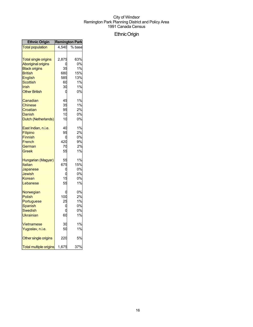## EthnicOrigin

| <b>Ethnic Origin</b>          | <b>Remington Park</b> |        |
|-------------------------------|-----------------------|--------|
| <b>Total population</b>       | 4,540                 | % base |
|                               |                       |        |
| <b>Total single origins</b>   | 2,875                 | 63%    |
| <b>Aboriginal origins</b>     |                       | 0%     |
| <b>Black origins</b>          | 35                    | 1%     |
| <b>British</b>                | 680                   | 15%    |
| English                       | 585                   | 13%    |
| Scottish                      | 60                    | 1%     |
| Irish                         | 30                    | 1%     |
| <b>Other British</b>          | 0                     | 0%     |
|                               |                       |        |
| Canadian                      | 45                    | 1%     |
| Chinese                       | 35                    | 1%     |
| Croatian                      | 95                    | 2%     |
| Danish                        | 10                    | 0%     |
| Dutch (Netherlands)           | 10                    | 0%     |
| East Indian, n.i.e.           | 40                    | 1%     |
| Filipino                      | 95                    | 2%     |
| <b>Finnish</b>                | C                     | 0%     |
| French                        | 420                   | 9%     |
|                               | 70                    | 2%     |
| German                        |                       |        |
| Greek                         | 55                    | 1%     |
| Hungarian (Magyar)            | 55                    | 1%     |
| Italian                       | 675                   | 15%    |
| Japanese                      | C                     | 0%     |
| Jewish                        | C                     | 0%     |
| Korean                        | 15                    | 0%     |
| Lebanese                      | 55                    | 1%     |
| Norwegian                     | C                     | 0%     |
| <b>Polish</b>                 | 100                   | 2%     |
| Portuguese                    | 25                    | 1%     |
| Spanish                       | C                     | 0%     |
| <b>Swedish</b>                | በ                     | 0%     |
| Ukrainian                     | 60                    | 1%     |
|                               |                       |        |
| <b>Vietnamese</b>             | 30                    | 1%     |
| Yugoslav, n.i.e.              | 50                    | 1%     |
| Other single origins          | 220                   | 5%     |
| <b>Total multiple origins</b> | 1,675                 | 37%    |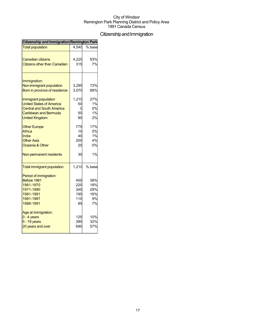## Citizenship and Immigration

| Citizenship and Immigration Remington Park                                                                                                    |                                       |                                      |
|-----------------------------------------------------------------------------------------------------------------------------------------------|---------------------------------------|--------------------------------------|
| <b>Total population</b>                                                                                                                       | 4,540                                 | % base                               |
| Canadian citizens<br><b>Citizens other than Canadian</b>                                                                                      | 4,220<br>315                          | 93%<br>7%                            |
| Immigration:<br>Non-immigrant population<br>Born in province of residence                                                                     | 3,295<br>3,070                        | 73%<br>68%                           |
| Immigrant population<br><b>United States of America</b><br><b>Central and South America</b><br>Caribbean and Bermuda<br><b>United Kingdom</b> | 1,210<br>50<br>50<br>90               | 27%<br>1%<br>0%<br>1%<br>2%          |
| <b>Other Europe</b><br>Africa<br>India<br><b>Other Asia</b><br>Oceania & Other                                                                | 775<br>10<br>40<br>200<br>20          | 17%<br>0%<br>1%<br>4%<br>0%          |
| Non-permanent residents                                                                                                                       | 30                                    | 1%                                   |
| <b>Total immigrant population</b>                                                                                                             | 1,210                                 | % base                               |
| Period of immigration:<br>Before 1961<br>1961-1970<br>1971-1980<br>1981-1991<br>1981-1987<br>1988-1991                                        | 455<br>220<br>345<br>195<br>110<br>85 | 38%<br>18%<br>29%<br>16%<br>9%<br>7% |
| Age at immigration:<br>$0 - 4$ years<br>5 - 19 years<br>20 years and over                                                                     | 125<br>390<br>690                     | 10%<br>32%<br>57%                    |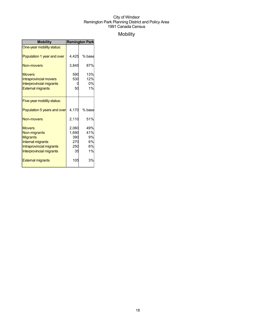## Mobility

| <b>Mobility</b>                                                                                                                                                  | <b>Remington Park</b>                            |                                          |
|------------------------------------------------------------------------------------------------------------------------------------------------------------------|--------------------------------------------------|------------------------------------------|
| One-year mobility status:                                                                                                                                        |                                                  |                                          |
| Population 1 year and over                                                                                                                                       | 4,425                                            | % base                                   |
| Non-movers                                                                                                                                                       | 3,845                                            | 87%                                      |
| <b>Movers</b><br><b>Intraprovincial movers</b><br><b>Interprovincial migrants</b><br><b>External migrants</b>                                                    | 590<br>530<br>50                                 | 13%<br>12%<br>0%<br>1%                   |
| Five-year mobility status:                                                                                                                                       |                                                  |                                          |
| Population 5 years and over                                                                                                                                      | 4,170                                            | % base                                   |
| Non-movers                                                                                                                                                       | 2,110                                            | 51%                                      |
| <b>Movers</b><br>Non-migrants<br><b>Migrants</b><br>Internal migrants<br>Intraprovincial migrants<br><b>Interprovincial migrants</b><br><b>External migrants</b> | 2,060<br>1,690<br>390<br>270<br>250<br>35<br>105 | 49%<br>41%<br>9%<br>6%<br>6%<br>1%<br>3% |
|                                                                                                                                                                  |                                                  |                                          |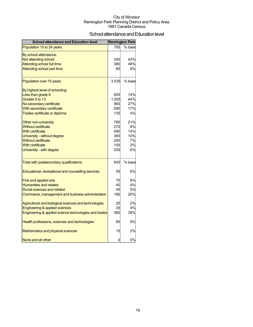## School attendance and Education level

| <b>School attendance and Education level</b>          |       | <b>Remington Park</b> |
|-------------------------------------------------------|-------|-----------------------|
| Population 15 to 24 years                             | 795   | % base                |
| By school attendance:                                 |       |                       |
| Not attending school                                  | 340   | 43%                   |
| <b>Attending school full time</b>                     | 380   | 48%                   |
| Attending school part time                            | 65    | 8%                    |
| Population over 15 years                              | 3,535 | % base                |
| By highest level of schooling:                        |       |                       |
| Less than grade 9                                     | 505   | 14%                   |
| Grades 9 to 13                                        | 1,555 | 44%                   |
| No secondary certificate                              | 965   | 27%                   |
| With secondary certificate                            | 590   | 17%                   |
| Trades certificate or diploma                         | 135   | 4%                    |
| Other non-university                                  | 760   | 21%                   |
| <b>Without certificate</b>                            | 270   | 8%                    |
| <b>With certificate</b>                               | 490   | 14%                   |
| University - without degree                           | 365   | 10%                   |
| Without certificate                                   | 250   | 7%                    |
| <b>With certificate</b>                               | 105   | 3%                    |
| University - with degree                              | 205   | 6%                    |
| Total with postsecondary qualifications               | 930   | % base                |
| Educational, recreational and counselling services    | 55    | 6%                    |
| Fine and applied arts                                 | 70    | 8%                    |
| <b>Humanities and related</b>                         | 40    | 4%                    |
| Social sciences and related                           | 45    | 5%                    |
| Commerce, management and business administration      | 190   | 20%                   |
| Agricultural and biological sciences and technologies | 20    | 2%                    |
| <b>Engineering &amp; applied sciences</b>             | 35    | 4%                    |
| Engineering & applied science technologies and trades | 360   | 39%                   |
| Health professions, sciences and technologies         | 85    | 9%                    |
| Mathematics and physical sciences                     | 15    | 2%                    |
| None and all other                                    | 0     | 0%                    |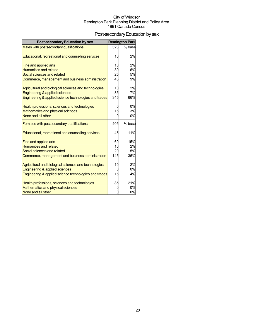## Post-secondary Education by sex

| <b>Post-secondary Education by sex</b>                |     | <b>Remington Park</b> |
|-------------------------------------------------------|-----|-----------------------|
| Males with postsecondary qualifications               | 525 | % base                |
|                                                       |     |                       |
| Educational, recreational and counselling services    | 10  | 2%                    |
| Fine and applied arts                                 | 10  | 2%                    |
| <b>Humanities and related</b>                         | 30  | 6%                    |
| Social sciences and related                           | 25  | 5%                    |
| Commerce, management and business administration      | 45  | 9%                    |
| Agricultural and biological sciences and technologies | 10  | 2%                    |
| Engineering & applied sciences                        | 35  | 7%                    |
| Engineering & applied science technologies and trades | 345 | 66%                   |
| Health professions, sciences and technologies         | 0   | 0%                    |
| Mathematics and physical sciences                     | 15  | 3%                    |
| None and all other                                    | 0   | 0%                    |
| Females with postsecondary qualifications             | 405 | % base                |
| Educational, recreational and counselling services    | 45  | 11%                   |
| Fine and applied arts                                 | 60  | 15%                   |
| <b>Humanities and related</b>                         | 10  | 2%                    |
| Social sciences and related                           | 20  | 5%                    |
| Commerce, management and business administration      | 145 | 36%                   |
| Agricultural and biological sciences and technologies | 10  | 2%                    |
| Engineering & applied sciences                        | 0   | 0%                    |
| Engineering & applied science technologies and trades | 15  | 4%                    |
| Health professions, sciences and technologies         | 85  | 21%                   |
| Mathematics and physical sciences                     | 0   | 0%                    |
| None and all other                                    | 0   | 0%                    |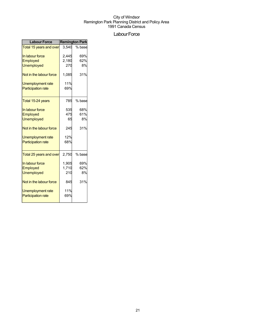## Labour Force

| <b>Labour Force</b>       | <b>Remington Park</b> |        |  |
|---------------------------|-----------------------|--------|--|
| Total 15 years and over   | 3.540                 | % base |  |
| In labour force           | 2,445                 | 69%    |  |
| Employed                  | 2,180                 | 62%    |  |
| <b>Unemployed</b>         | 270                   | 8%     |  |
| Not in the labour force   | 1,085                 | 31%    |  |
| <b>Unemployment rate</b>  | 11%                   |        |  |
| <b>Participation rate</b> | 69%                   |        |  |
| Total 15-24 years         | 785                   | % base |  |
| In labour force           | 535                   | 68%    |  |
| Employed                  | 475                   | 61%    |  |
| <b>Unemployed</b>         | 65                    | 8%     |  |
| Not in the labour force   | 245                   | 31%    |  |
| <b>Unemployment rate</b>  | 12%                   |        |  |
| <b>Participation rate</b> | 68%                   |        |  |
| Total 25 years and over   | 2,750                 | % base |  |
| In labour force           | 1,905                 | 69%    |  |
| Employed                  | 1,710                 | 62%    |  |
| <b>Unemployed</b>         | 210                   | 8%     |  |
| Not in the labour force   | 845                   | 31%    |  |
| <b>Unemployment rate</b>  | 11%                   |        |  |
| <b>Participation rate</b> | 69%                   |        |  |
|                           |                       |        |  |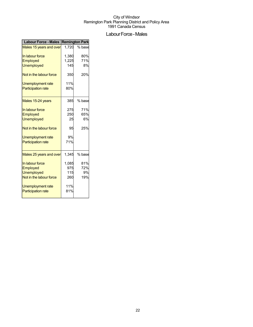## Labour Force - Males

| Labour Force - Males Remington Park |       |        |  |
|-------------------------------------|-------|--------|--|
| Males 15 years and over             | 1.720 | % base |  |
| In labour force                     | 1,380 | 80%    |  |
| Employed                            | 1,225 | 71%    |  |
| <b>Unemployed</b>                   | 145   | 8%     |  |
| Not in the labour force             | 350   | 20%    |  |
| Unemployment rate                   | 11%   |        |  |
| <b>Participation rate</b>           | 80%   |        |  |
| Males 15-24 years                   | 385   | % base |  |
| In labour force                     | 275   | 71%    |  |
| Employed                            | 250   | 65%    |  |
| <b>Unemployed</b>                   | 25    | 6%     |  |
| Not in the labour force             | 95    | 25%    |  |
| <b>Unemployment rate</b>            | 9%    |        |  |
| <b>Participation rate</b>           | 71%   |        |  |
| Males 25 years and over             | 1,345 | % base |  |
| In labour force                     | 1,085 | 81%    |  |
| Employed                            | 975   | 72%    |  |
| <b>Unemployed</b>                   | 115   | 9%     |  |
| Not in the labour force             | 260   | 19%    |  |
| Unemployment rate                   | 11%   |        |  |
| <b>Participation rate</b>           | 81%   |        |  |
|                                     |       |        |  |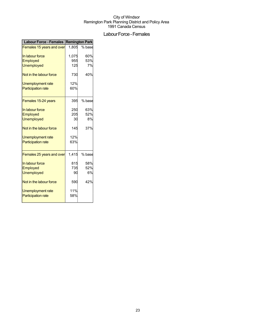## Labour Force - Females

| Labour Force - Females Remington Park |       |        |  |
|---------------------------------------|-------|--------|--|
| Females 15 years and over             | 1,805 | % base |  |
| In labour force                       | 1,075 | 60%    |  |
| Employed                              | 955   | 53%    |  |
| <b>Unemployed</b>                     | 125   | 7%     |  |
| Not in the labour force               | 730   | 40%    |  |
| <b>Unemployment rate</b>              | 12%   |        |  |
| <b>Participation rate</b>             | 60%   |        |  |
| Females 15-24 years                   | 395   | % base |  |
| In labour force                       | 250   | 63%    |  |
| Employed                              | 205   | 52%    |  |
| <b>Unemployed</b>                     | 30    | 8%     |  |
| Not in the labour force               | 145   | 37%    |  |
| Unemployment rate                     | 12%   |        |  |
| <b>Participation rate</b>             | 63%   |        |  |
| Females 25 years and over             | 1.415 | % base |  |
| In labour force                       | 815   | 58%    |  |
| Employed                              | 735   | 52%    |  |
| <b>Unemployed</b>                     | 90    | 6%     |  |
| Not in the labour force               | 590   | 42%    |  |
| <b>Unemployment rate</b>              | 11%   |        |  |
| <b>Participation rate</b>             | 58%   |        |  |
|                                       |       |        |  |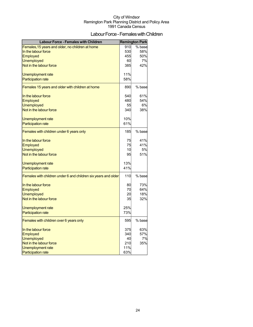## Labour Force - Females with Children

| <b>Labour Force - Females with Children</b>                    |     | <b>Remington Park</b> |
|----------------------------------------------------------------|-----|-----------------------|
| Females, 15 years and older, no children at home               | 910 | % base                |
| In the labour force                                            | 530 | 58%                   |
| <b>Employed</b>                                                | 455 | 50%                   |
| <b>Unemployed</b>                                              | 60  | 7%                    |
| Not in the labour force                                        | 385 | 42%                   |
| Unemployment rate                                              | 11% |                       |
| <b>Participation rate</b>                                      | 58% |                       |
|                                                                |     |                       |
| Females 15 years and older with children at home               | 890 | % base                |
| In the labour force                                            | 540 | 61%                   |
| Employed                                                       | 480 | 54%                   |
| <b>Unemployed</b>                                              | 55  | 6%                    |
| Not in the labour force                                        | 340 | 38%                   |
| Unemployment rate                                              | 10% |                       |
| <b>Participation rate</b>                                      | 61% |                       |
| Females with children under 6 years only                       | 185 | % base                |
|                                                                |     |                       |
| In the labour force                                            | 75  | 41%                   |
| Employed                                                       | 75  | 41%                   |
| <b>Unemployed</b>                                              | 10  | 5%                    |
| Not in the labour force                                        | 95  | 51%                   |
| Unemployment rate                                              | 13% |                       |
| <b>Participation rate</b>                                      | 41% |                       |
| Females with children under 6 and children six years and older | 110 | % base                |
|                                                                |     |                       |
| In the labour force                                            | 80  | 73%                   |
| <b>Employed</b>                                                | 70  | 64%                   |
| <b>Unemployed</b>                                              | 20  | 18%                   |
| Not in the labour force                                        | 35  | 32%                   |
| Unemployment rate                                              | 25% |                       |
| <b>Participation rate</b>                                      | 73% |                       |
| Females with children over 6 years only                        | 595 | % base                |
| In the labour force                                            | 375 | 63%                   |
| <b>Employed</b>                                                | 340 | 57%                   |
| <b>Unemployed</b>                                              | 40  | 7%                    |
| Not in the labour force                                        | 210 | 35%                   |
| <b>Unemployment rate</b>                                       | 11% |                       |
| <b>Participation rate</b>                                      | 63% |                       |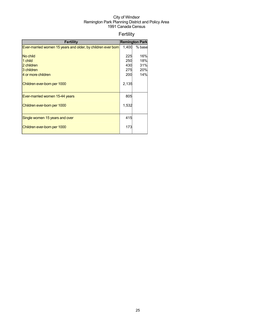## Fertility

| <b>Fertility</b>                                             |       | <b>Remington Park</b> |
|--------------------------------------------------------------|-------|-----------------------|
| Ever-married women 15 years and older, by children ever born | 1,400 | % base                |
|                                                              |       |                       |
| No child                                                     | 225   | 16%                   |
| 1 child                                                      | 250   | 18%                   |
| 2 children                                                   | 430   | 31%                   |
| 3 children                                                   | 275   | 20%                   |
| 4 or more children                                           | 200   | 14%                   |
| Children ever-born per 1000                                  | 2,135 |                       |
| Ever-married women 15-44 years                               | 805   |                       |
| Children ever-born per 1000                                  | 1,532 |                       |
| Single women 15 years and over                               | 415   |                       |
| Children ever-born per 1000                                  | 173   |                       |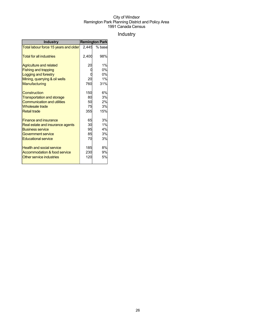## Industry

| <b>Industry</b>                       |       | <b>Remington Park</b> |
|---------------------------------------|-------|-----------------------|
| Total labour force 15 years and older | 2.445 | % base                |
| <b>Total for all industries</b>       | 2,400 | 98%                   |
| <b>Agriculture and related</b>        | 20    | 1%                    |
| <b>Fishing and trapping</b>           |       | 0%                    |
| Logging and forestry                  |       | 0%                    |
| Mining, quarrying & oil wells         | 20    | 1%                    |
| Manufacturing                         | 760   | 31%                   |
| Construction                          | 150   | 6%                    |
| <b>Transportation and storage</b>     | 80    | 3%                    |
| <b>Communication and utilities</b>    | 50    | 2%                    |
| <b>Wholesale trade</b>                | 75    | 3%                    |
| <b>Retail trade</b>                   | 355   | 15%                   |
| <b>Finance and insurance</b>          | 65    | 3%                    |
| Real estate and insurance agents      | 30    | 1%                    |
| <b>Business service</b>               | 95    | 4%                    |
| <b>Government service</b>             | 85    | 3%                    |
| <b>Educational service</b>            | 70    | 3%                    |
| <b>Health and social service</b>      | 185   | 8%                    |
| Accommodation & food service          | 230   | 9%                    |
| Other service industries              | 120   | 5%                    |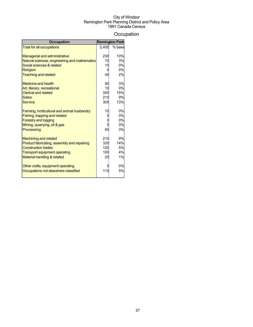## **Occupation**

| <b>Occupation</b>                             |       | <b>Remington Park</b> |
|-----------------------------------------------|-------|-----------------------|
| <b>Total for all occupations</b>              | 2,400 | % base                |
|                                               |       |                       |
| <b>Managerial and administrative</b>          | 230   | 10%                   |
| Natural sciences, engineering and mathematics | 70    | 3%                    |
| Social sciences & related                     | 10    | 0%                    |
| Religion                                      |       | 0%                    |
| <b>Teaching and related</b>                   | 45    | 2%                    |
| <b>Medicine and health</b>                    | 80    | 3%                    |
| Art, literary, recreational                   | 10    | 0%                    |
| <b>Clerical and related</b>                   | 355   | 15%                   |
| <b>Sales</b>                                  | 215   | 9%                    |
| <b>Service</b>                                | 305   | 13%                   |
| Farming, horticultural and animal husbandry   | 10    | 0%                    |
| Fishing, trapping and related                 |       | 0%                    |
| <b>Forestry and logging</b>                   |       | 0%                    |
| Mining, quarrying, oil & gas                  |       | 0%                    |
| Processing                                    | 60    | 3%                    |
| <b>Machining and related</b>                  | 210   | 9%                    |
| Product fabricating, assembly and repairing   | 335   | 14%                   |
| <b>Construction trades</b>                    | 120   | 5%                    |
| <b>Transport equipment operating</b>          | 100   | 4%                    |
| Material handling & related                   | 25    | 1%                    |
| Other crafts, equipment operating             |       | 0%                    |
| Occupations not elsewhere classified          | 115   | 5%                    |
|                                               |       |                       |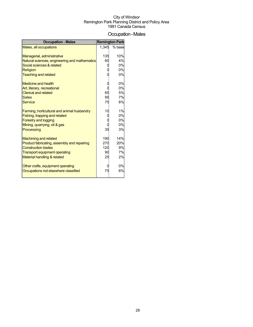## Occupation-Males

| <b>Occupation - Males</b>                     |       | <b>Remington Park</b> |
|-----------------------------------------------|-------|-----------------------|
| Males, all occupations                        | 1.345 | % base                |
|                                               |       |                       |
| Managerial, administrative                    | 135   | 10%                   |
| Natural sciences, engineering and mathematics | 60    | 4%                    |
| Social sciences & related                     |       | 0%                    |
| <b>Religion</b>                               |       | 0%                    |
| <b>Teaching and related</b>                   |       | 0%                    |
| Medicine and health                           |       | 0%                    |
| Art, literary, recreational                   |       | 0%                    |
| <b>Clerical and related</b>                   | 65    | 5%                    |
| <b>Sales</b>                                  | 95    | 7%                    |
| <b>Service</b>                                | 75    | 6%                    |
|                                               |       |                       |
| Farming, horticultural and animal husbandry   | 10    | 1%                    |
| Fishing, trapping and related                 |       | 0%                    |
| <b>Forestry and logging</b>                   |       | 0%                    |
| Mining, quarrying, oil & gas                  |       | 0%                    |
| Processing                                    | 35    | 3%                    |
|                                               |       |                       |
| <b>Machining and related</b>                  | 190   | 14%                   |
| Product fabricating, assembly and repairing   | 270   | 20%                   |
| <b>Construction trades</b>                    | 120   | 9%                    |
| <b>Transport equipment operating</b>          | 90    | 7%                    |
| Material handling & related                   | 25    | 2%                    |
|                                               |       |                       |
| Other crafts, equipment operating             |       | 0%                    |
| Occupations not elsewhere classified          | 75    | 6%                    |
|                                               |       |                       |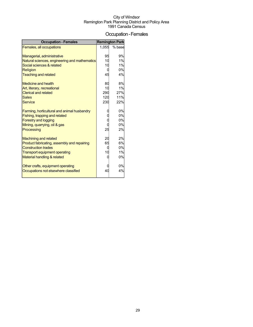## Occupation-Females

| <b>Occupation - Females</b>                   |                | <b>Remington Park</b> |
|-----------------------------------------------|----------------|-----------------------|
| Females, all occupations                      | 1,055          | % base                |
|                                               |                |                       |
| Managerial, administrative                    | 95             | 9%                    |
| Natural sciences, engineering and mathematics | 10             | 1%                    |
| Social sciences & related                     | 10             | 1%                    |
| Religion                                      |                | 0%                    |
| <b>Teaching and related</b>                   | 45             | 4%                    |
| <b>Medicine and health</b>                    | 80             | 8%                    |
| Art, literary, recreational                   | 10             | 1%                    |
| <b>Clerical and related</b>                   | 290            | 27%                   |
| <b>Sales</b>                                  | 120            | 11%                   |
| <b>Service</b>                                | 230            | 22%                   |
| Farming, horticultural and animal husbandry   |                | 0%                    |
| Fishing, trapping and related                 |                | 0%                    |
| <b>Forestry and logging</b>                   |                | 0%                    |
| Mining, quarrying, oil & gas                  |                | 0%                    |
| Processing                                    | 25             | 2%                    |
| <b>Machining and related</b>                  | 20             | 2%                    |
| Product fabricating, assembly and repairing   | 65             | 6%                    |
| <b>Construction trades</b>                    |                | 0%                    |
| <b>Transport equipment operating</b>          | 1 <sup>C</sup> | 1%                    |
| Material handling & related                   |                | 0%                    |
| Other crafts, equipment operating             |                | 0%                    |
| Occupations not elsewhere classified          | 40             | 4%                    |
|                                               |                |                       |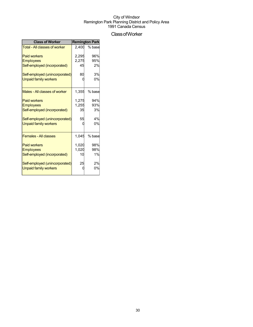## ClassofWorker

| <b>Class of Worker</b>               | <b>Remington Park</b> |        |  |
|--------------------------------------|-----------------------|--------|--|
| <b>Total - All classes of worker</b> | 2.400                 | % base |  |
| <b>Paid workers</b>                  | 2,295                 | 96%    |  |
| <b>Employees</b>                     | 2,275                 | 95%    |  |
| Self-employed (incorporated)         | 45                    | 2%     |  |
| Self-employed (unincorporated)       | 80                    | 3%     |  |
| <b>Unpaid family workers</b>         |                       | 0%     |  |
| Males - All classes of worker        | 1,355                 | % base |  |
| <b>Paid workers</b>                  | 1,275                 | 94%    |  |
| <b>Employees</b>                     | 1,255                 | 93%    |  |
| Self-employed (incorporated)         | 35                    | 3%     |  |
| Self-employed (unincorporated)       | 55                    | 4%     |  |
| <b>Unpaid family workers</b>         |                       | 0%     |  |
| <b>Females - All classes</b>         | 1.045                 | % base |  |
| <b>Paid workers</b>                  | 1,020                 | 98%    |  |
| <b>Employees</b>                     | 1,020                 | 98%    |  |
| Self-employed (incorporated)         | 10                    | 1%     |  |
| Self-employed (unincorporated)       | 25                    | 2%     |  |
| <b>Unpaid family workers</b>         |                       | 0%     |  |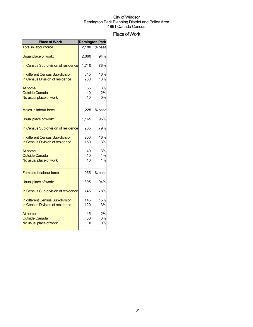## Place of Work

| <b>Place of Work</b>                | <b>Remington Park</b> |        |
|-------------------------------------|-----------------------|--------|
| <b>Total in labour force</b>        | 2.180                 | % base |
| Usual place of work:                | 2,060                 | 94%    |
| In Census Sub-division of residence | 1,710                 | 78%    |
| In different Census Sub-division    | 345                   | 16%    |
| In Census Division of residence     | 280                   | 13%    |
| At home                             | 55                    | 3%     |
| <b>Outside Canada</b>               | 40                    | 2%     |
| No usual place of work              | 10                    | 0%     |
| Males in labour force               | 1,225                 | % base |
| Usual place of work:                | 1,165                 | 95%    |
| In Census Sub-division of residence | 965                   | 79%    |
| In different Census Sub-division    | 200                   | 16%    |
| In Census Division of residence     | 160                   | 13%    |
| At home                             | 40                    | 3%     |
| <b>Outside Canada</b>               | 10                    | 1%     |
| No usual place of work              | 10                    | 1%     |
| <b>Females in labour force</b>      | 955                   | % base |
| Usual place of work:                | 895                   | 94%    |
| In Census Sub-division of residence | 745                   | 78%    |
| In different Census Sub-division    | 145                   | 15%    |
| In Census Division of residence     | 120                   | 13%    |
| At home                             | 15                    | 2%     |
| <b>Outside Canada</b>               | 30                    | 3%     |
| No usual place of work              | O                     | 0%     |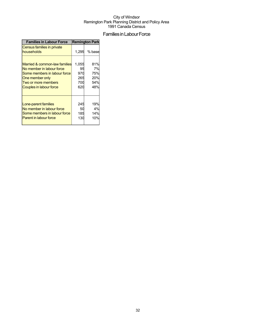## Families in Labour Force

| <b>Families in Labour Force</b>          | <b>Remington Park</b> |        |
|------------------------------------------|-----------------------|--------|
| Census families in private<br>households | 1.295                 | % base |
| Married & common-law families            | 1,055                 | 81%    |
| No member in labour force                | 95                    | 7%     |
| Some members in labour force             | 970                   | 75%    |
| One member only                          | 265                   | 20%    |
| Two or more members                      | 700                   | 54%    |
| Couples in labour force                  | 620                   | 48%    |
| Lone-parent families                     | 245                   | 19%    |
| No member in labour force                | 50                    | 4%     |
| Some members in labour force             | 185                   | 14%    |
| Parent in labour force                   | 130                   | 10%    |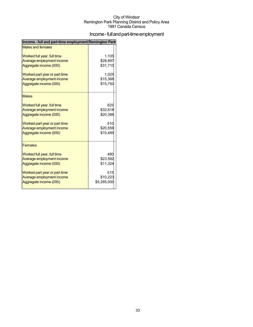## Income - full and part-time employment

| Income - full and part-time employment Remington Park |             |
|-------------------------------------------------------|-------------|
| <b>Males and females</b>                              |             |
| Worked full year, full time                           | 1.105       |
| Average employment income                             | \$28,697    |
| Aggregate income (000)                                | \$31,710    |
| Worked part year or part time                         | 1,025       |
| Average employment income                             | \$15,366    |
| Aggregate income (000)                                | \$15,750    |
| <b>Males</b>                                          |             |
| Worked full year, full time                           | 625         |
| Average employment income                             | \$32,618    |
| Aggregate income (000)                                | \$20,386    |
| Worked part year or part time                         | 510         |
| Average employment income                             | \$20,559    |
| Aggregate income (000)                                | \$10,485    |
| <b>Females</b>                                        |             |
| Worked full year, full time                           | 480         |
| Average employment income                             | \$23,592    |
| Aggregate income (000)                                | \$11,324    |
| Worked part year or part time                         | 515         |
| Average employment income                             | \$10,223    |
| Aggregate income (000)                                | \$5,265,000 |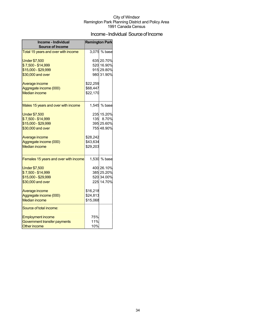## Income - Individual Source of Income

| Income - Individual<br><b>Source of Income</b> | <b>Remington Park</b> |              |
|------------------------------------------------|-----------------------|--------------|
| Total 15 years and over with income            |                       | 3,075 % base |
|                                                |                       |              |
| <b>Under \$7,500</b>                           |                       | 635 20.70%   |
| \$7,500 - \$14,999                             |                       | 520 16.90%   |
| \$15,000 - \$29,999                            |                       | 915 29.80%   |
| \$30,000 and over                              |                       | 980 31.90%   |
| Average income                                 | \$22,259              |              |
| Aggregate income (000)                         | \$68,447              |              |
| <b>Median income</b>                           | \$22,170              |              |
|                                                |                       |              |
| Males 15 years and over with income            |                       | 1,545 % base |
| <b>Under \$7,500</b>                           |                       | 235 15.20%   |
| \$7,500 - \$14,999                             |                       | 135 8.70%    |
| \$15,000 - \$29,999                            |                       | 395 25.60%   |
| \$30,000 and over                              |                       | 755 48.90%   |
|                                                |                       |              |
| Average income                                 | \$28,242              |              |
| Aggregate income (000)                         | \$43,634              |              |
| <b>Median income</b>                           | \$29,203              |              |
| Females 15 years and over with income          |                       | 1,530 % base |
| <b>Under \$7,500</b>                           |                       | 400 26.10%   |
| \$7,500 - \$14,999                             |                       | 385 25.20%   |
| \$15,000 - \$29,999                            |                       | 520 34.00%   |
| \$30,000 and over                              |                       | 225 14.70%   |
| Average income                                 | \$16,218              |              |
| Aggregate income (000)                         | \$24,813              |              |
| <b>Median income</b>                           | \$15,068              |              |
| Source of total income:                        |                       |              |
| <b>Employment income</b>                       | 75%                   |              |
| Government transfer payments                   | 11%                   |              |
| Other income                                   | 10%                   |              |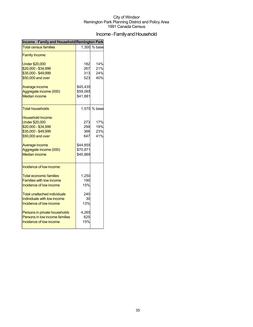## Income - Family and Household

| Income - Family and Household Remington Park |          |              |
|----------------------------------------------|----------|--------------|
| <b>Total census families</b>                 |          | 1,300 % base |
| <b>Family Income:</b>                        |          |              |
| <b>Under \$20,000</b>                        | 182      | 14%          |
| \$20,000 - \$34,999                          | 267      | 21%          |
| \$35,000 - \$49,999                          | 313      | 24%          |
| \$50,000 and over                            | 523      | 40%          |
| Average income                               | \$45,435 |              |
| Aggregate income (000)                       | \$59,065 |              |
| <b>Median income</b>                         | \$41,881 |              |
| Total households                             |          | 1,570 % base |
| Household Income:                            |          |              |
| <b>Under \$20,000</b>                        | 273      | 17%          |
| \$20,000 - \$34,999                          | 299      | 19%          |
| \$35,000 - \$49,999                          | 366      | 23%          |
| \$50,000 and over                            | 647      | 41%          |
| Average income                               | \$44,855 |              |
| Aggregate income (000)                       | \$70,871 |              |
| <b>Median income</b>                         | \$40,869 |              |
| Incidence of low income:                     |          |              |
| <b>Total economic families</b>               | 1,250    |              |
| <b>Families with low income</b>              | 190      |              |
| Incidence of low income                      | 15%      |              |
| Total unattached individuals                 | 240      |              |
| Individuals with low income                  | 30       |              |
| Incidence of low income                      | 13%      |              |
| Persons in private households                | 4,265    |              |
| Persons in low income families               | 625      |              |
| Incidence of low income                      | 15%      |              |